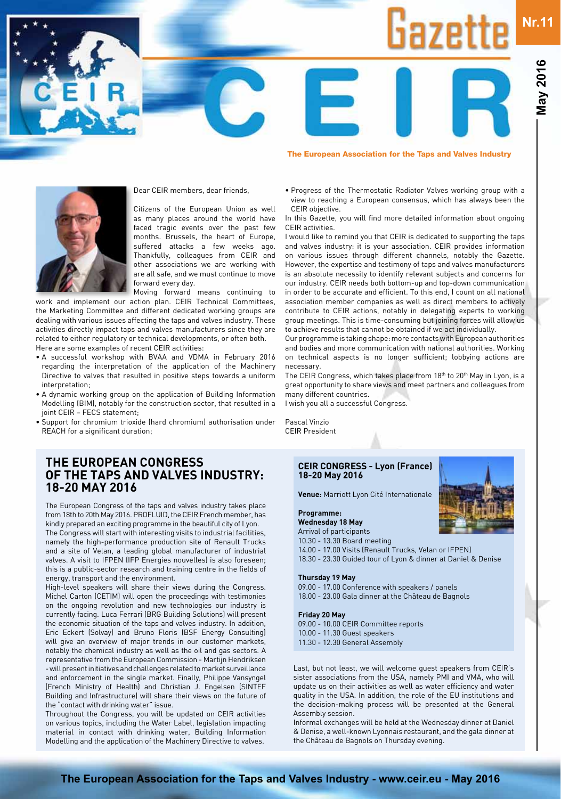# **Nr.11** $i$ aze



#### Dear CEIR members, dear friends,

Citizens of the European Union as well as many places around the world have faced tragic events over the past few months. Brussels, the heart of Europe, suffered attacks a few weeks ago. Thankfully, colleagues from CEIR and other associations we are working with are all safe, and we must continue to move forward every day.

Moving forward means continuing to work and implement our action plan. CEIR Technical Committees, the Marketing Committee and different dedicated working groups are dealing with various issues affecting the taps and valves industry. These activities directly impact taps and valves manufacturers since they are related to either regulatory or technical developments, or often both. Here are some examples of recent CEIR activities:

- A successful workshop with BVAA and VDMA in February 2016 regarding the interpretation of the application of the Machinery Directive to valves that resulted in positive steps towards a uniform interpretation;
- A dynamic working group on the application of Building Information Modelling (BIM), notably for the construction sector, that resulted in a joint CEIR – FECS statement;
- Support for chromium trioxide (hard chromium) authorisation under REACH for a significant duration;

### **The European Congress of the taps and valves industry: 18-20 May 2016**

The European Congress of the taps and valves industry takes place from 18th to 20th May 2016. PROFLUID, the CEIR French member, has kindly prepared an exciting programme in the beautiful city of Lyon. The Congress will start with interesting visits to industrial facilities, namely the high-performance production site of Renault Trucks and a site of Velan, a leading global manufacturer of industrial valves. A visit to IFPEN (IFP Energies nouvelles) is also foreseen; this is a public-sector research and training centre in the fields of

energy, transport and the environment. High-level speakers will share their views during the Congress. Michel Carton (CETIM) will open the proceedings with testimonies on the ongoing revolution and new technologies our industry is currently facing. Luca Ferrari (BRG Building Solutions) will present the economic situation of the taps and valves industry. In addition, Eric Eckert (Solvay) and Bruno Floris (BSF Energy Consulting) will give an overview of major trends in our customer markets, notably the chemical industry as well as the oil and gas sectors. A representative from the European Commission - Martijn Hendriksen - will present initiatives and challenges related to market surveillance and enforcement in the single market. Finally, Philippe Vansyngel (French Ministry of Health) and Christian J. Engelsen (SINTEF Building and Infrastructure) will share their views on the future of the "contact with drinking water" issue.

Throughout the Congress, you will be updated on CEIR activities on various topics, including the Water Label, legislation impacting material in contact with drinking water, Building Information Modelling and the application of the Machinery Directive to valves.

#### • Progress of the Thermostatic Radiator Valves working group with a view to reaching a European consensus, which has always been the CEIR objective.

The European Association for the Taps and Valves Industry

In this Gazette, you will find more detailed information about ongoing CEIR activities.

I would like to remind you that CEIR is dedicated to supporting the taps and valves industry: it is your association. CEIR provides information on various issues through different channels, notably the Gazette. However, the expertise and testimony of taps and valves manufacturers is an absolute necessity to identify relevant subjects and concerns for our industry. CEIR needs both bottom-up and top-down communication in order to be accurate and efficient. To this end, I count on all national association member companies as well as direct members to actively contribute to CEIR actions, notably in delegating experts to working group meetings. This is time-consuming but joining forces will allow us to achieve results that cannot be obtained if we act individually.

Our programme is taking shape: more contacts with European authorities and bodies and more communication with national authorities. Working on technical aspects is no longer sufficient; lobbying actions are necessary.

The CEIR Congress, which takes place from 18<sup>th</sup> to 20<sup>th</sup> May in Lyon, is a great opportunity to share views and meet partners and colleagues from many different countries.

I wish you all a successful Congress.

Pascal Vinzio CEIR President

#### **CEIR CONGRESS - Lyon (France) 18-20 May 2016**

**Venue:** Marriott Lyon Cité Internationale

#### **Programme:**

**Wednesday 18 May** Arrival of participants

10.30 - 13.30 Board meeting 14.00 - 17.00 Visits (Renault Trucks, Velan or IFPEN) 18.30 - 23.30 Guided tour of Lyon & dinner at Daniel & Denise

#### **Thursday 19 May**

09.00 - 17.00 Conference with speakers / panels 18.00 - 23.00 Gala dinner at the Château de Bagnols

#### **Friday 20 May**

09.00 - 10.00 CEIR Committee reports 10.00 - 11.30 Guest speakers 11.30 - 12.30 General Assembly

Last, but not least, we will welcome guest speakers from CEIR's sister associations from the USA, namely PMI and VMA, who will update us on their activities as well as water efficiency and water quality in the USA. In addition, the role of the EU institutions and the decision-making process will be presented at the General Assembly session.

Informal exchanges will be held at the Wednesday dinner at Daniel & Denise, a well-known Lyonnais restaurant, and the gala dinner at the Château de Bagnols on Thursday evening.

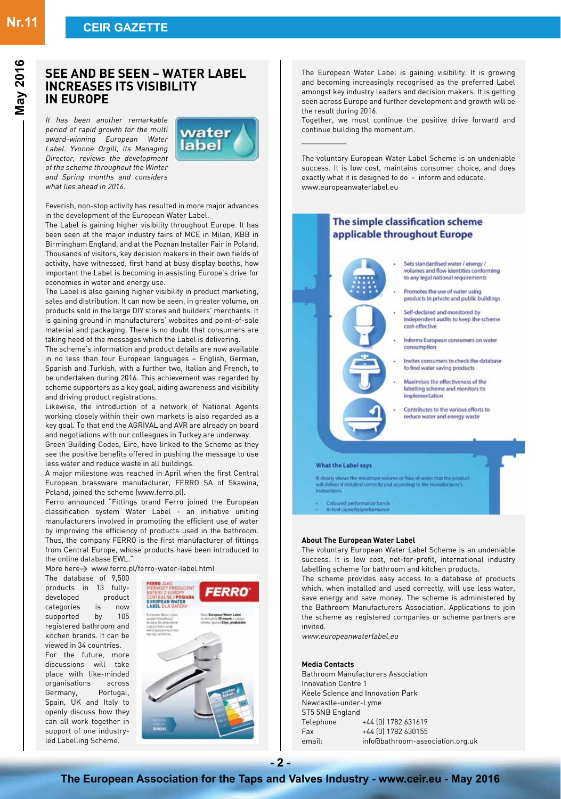# **Nr.11 CEIR GAZETTE**

### **See and be Seen – Water Label increases its visibility in Europe**

It has been another remarkable period of rapid growth for the multi award-winning European Water Label. Yvonne Orgill, its Managing Director, reviews the development of the scheme throughout the Winter and Spring months and considers what lies ahead in 2016.



Feverish, non-stop activity has resulted in more major advances in the development of the European Water Label.

The Label is gaining higher visibility throughout Europe. It has been seen at the major industry fairs of MCE in Milan, KBB in Birmingham England, and at the Poznan Installer Fair in Poland. Thousands of visitors, key decision makers in their own fields of activity, have witnessed, first hand at busy display booths, how important the Label is becoming in assisting Europe's drive for economies in water and energy use.

The Label is also gaining higher visibility in product marketing, sales and distribution. It can now be seen, in greater volume, on products sold in the large DIY stores and builders' merchants. It is gaining ground in manufacturers' websites and point-of-sale material and packaging. There is no doubt that consumers are taking heed of the messages which the Label is delivering.

The scheme's information and product details are now available in no less than four European languages – English, German, Spanish and Turkish, with a further two, Italian and French, to be undertaken during 2016. This achievement was regarded by scheme supporters as a key goal, aiding awareness and visibility and driving product registrations.

Likewise, the introduction of a network of National Agents working closely within their own markets is also regarded as a key goal. To that end the AGRIVAL and AVR are already on board and negotiations with our colleagues in Turkey are underway.

Green Building Codes, Eire, have linked to the Scheme as they see the positive benefits offered in pushing the message to use less water and reduce waste in all buildings.

A major milestone was reached in April when the first Central European brassware manufacturer, FERRO SA of Skawina, Poland, joined the scheme (www.ferro.pl).

Ferro announced "Fittings brand Ferro joined the European classification system Water Label - an initiative uniting manufacturers involved in promoting the efficient use of water by improving the efficiency of products used in the bathroom. Thus, the company FERRO is the first manufacturer of fittings from Central Europe, whose products have been introduced to the online database EWL.

More here $\rightarrow$  www.ferro.pl/ferro-water-label.html

The database of 9,500 products in 13 fullydeveloped product categories is now supported by 105 registered bathroom and kitchen brands. It can be viewed in 34 countries. For the future, more discussions will take place with like-minded organisations across Germany, Portugal, Spain, UK and Italy to openly discuss how they can all work together in support of one industryled Labelling Scheme.



The European Water Label is gaining visibility. It is growing and becoming increasingly recognised as the preferred Label amongst key industry leaders and decision makers. It is getting seen across Europe and further development and growth will be the result during 2016.

Together, we must continue the positive drive forward and continue building the momentum.

\_\_\_\_\_\_\_\_\_\_\_

The voluntary European Water Label Scheme is an undeniable success. It is low cost, maintains consumer choice, and does exactly what it is designed to do - inform and educate. www.europeanwaterlabel.eu



The voluntary European Water Label Scheme is an undeniable success. It is low cost, not-for-profit, international industry labelling scheme for bathroom and kitchen products.

The scheme provides easy access to a database of products which, when installed and used correctly, will use less water, save energy and save money. The scheme is administered by the Bathroom Manufacturers Association. Applications to join the scheme as registered companies or scheme partners are invited.

www.europeanwaterlabel.eu

#### **Media Contacts**

Bathroom Manufacturers Association Innovation Centre 1 Keele Science and Innovation Park Newcastle-under-Lyme ST5 5NB England Telephone +44 (0) 1782 631619 Fax +44 (0) 1782 630155 email: info@bathroom-association.org.uk

**- 2 -**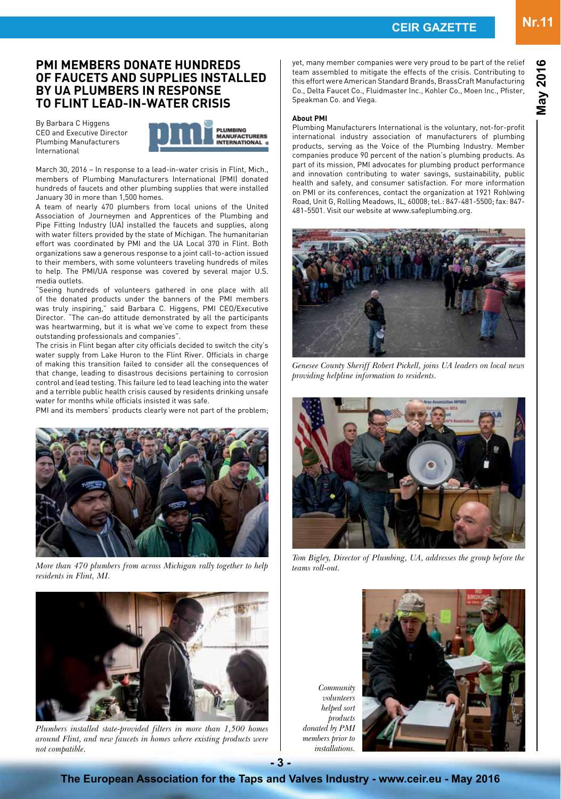#### **PMI Members Donate Hundreds of Faucets and Supplies Installed by UA Plumbers in Response to Flint Lead-in-Water Crisis**

By Barbara C Higgens CEO and Executive Director Plumbing Manufacturers International



March 30, 2016 – In response to a lead-in-water crisis in Flint, Mich., members of Plumbing Manufacturers International (PMI) donated hundreds of faucets and other plumbing supplies that were installed January 30 in more than 1,500 homes.

A team of nearly 470 plumbers from local unions of the United Association of Journeymen and Apprentices of the Plumbing and Pipe Fitting Industry (UA) installed the faucets and supplies, along with water filters provided by the state of Michigan. The humanitarian effort was coordinated by PMI and the UA Local 370 in Flint. Both organizations saw a generous response to a joint call-to-action issued to their members, with some volunteers traveling hundreds of miles to help. The PMI/UA response was covered by several major U.S. media outlets.

"Seeing hundreds of volunteers gathered in one place with all of the donated products under the banners of the PMI members was truly inspiring," said Barbara C. Higgens, PMI CEO/Executive Director. "The can-do attitude demonstrated by all the participants was heartwarming, but it is what we've come to expect from these outstanding professionals and companies".

The crisis in Flint began after city officials decided to switch the city's water supply from Lake Huron to the Flint River. Officials in charge of making this transition failed to consider all the consequences of that change, leading to disastrous decisions pertaining to corrosion control and lead testing. This failure led to lead leaching into the water and a terrible public health crisis caused by residents drinking unsafe water for months while officials insisted it was safe.

PMI and its members' products clearly were not part of the problem;



*More than 470 plumbers from across Michigan rally together to help residents in Flint, MI.*



*Plumbers installed state-provided filters in more than 1,500 homes around Flint, and new faucets in homes where existing products were not compatible.*

yet, many member companies were very proud to be part of the relief team assembled to mitigate the effects of the crisis. Contributing to this effort were American Standard Brands, BrassCraft Manufacturing Co., Delta Faucet Co., Fluidmaster Inc., Kohler Co., Moen Inc., Pfister, Speakman Co. and Viega.

#### **About PMI**

Plumbing Manufacturers International is the voluntary, not-for-profit international industry association of manufacturers of plumbing products, serving as the Voice of the Plumbing Industry. Member companies produce 90 percent of the nation's plumbing products. As part of its mission, PMI advocates for plumbing product performance and innovation contributing to water savings, sustainability, public health and safety, and consumer satisfaction. For more information on PMI or its conferences, contact the organization at 1921 Rohlwing Road, Unit G, Rolling Meadows, IL, 60008; tel.: 847-481-5500; fax: 847- 481-5501. Visit our website at www.safeplumbing.org.



*Genesee County Sheriff Robert Pickell, joins UA leaders on local news providing helpline information to residents.*



*Tom Bigley, Director of Plumbing, UA, addresses the group before the teams roll-out.*

*Community volunteers helped sort products donated by PMI members prior to installations.*



**- 3 -**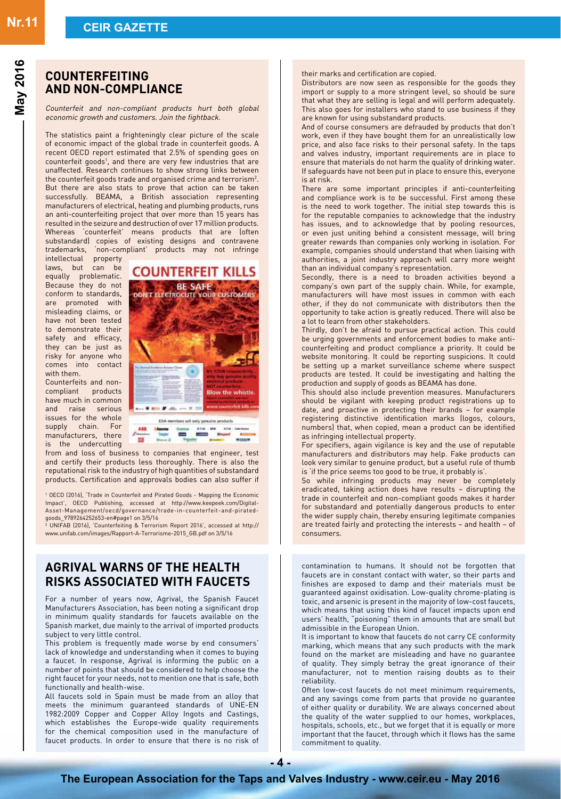### **Counterfeiting and non-compliance**

Counterfeit and non-compliant products hurt both global economic growth and customers. Join the fightback.

The statistics paint a frighteningly clear picture of the scale of economic impact of the global trade in counterfeit goods. A recent OECD report estimated that 2.5% of spending goes on counterfeit goods<sup>1</sup>, and there are very few industries that are unaffected. Research continues to show strong links between the counterfeit goods trade and organised crime and terrorism $^2$ . But there are also stats to prove that action can be taken successfully. BEAMA, a British association representing manufacturers of electrical, heating and plumbing products, runs an anti-counterfeiting project that over more than 15 years has resulted in the seizure and destruction of over 17 million products. Whereas 'counterfeit' means products that are (often substandard) copies of existing designs and contravene trademarks, 'non-compliant' products may not infringe

intellectual property laws, but can be equally problematic. Because they do not conform to standards, are promoted with misleading claims, or have not been tested to demonstrate their safety and efficacy, they can be just as risky for anyone who comes into contact with them.

Counterfeits and noncompliant products have much in common and raise serious issues for the whole supply chain. For manufacturers, there is the undercutting



from and loss of business to companies that engineer, test and certify their products less thoroughly. There is also the reputational risk to the industry of high quantities of substandard products. Certification and approvals bodies can also suffer if

1 OECD (2016), 'Trade in Counterfeit and Pirated Goods - Mapping the Economic Impact', OECD Publishing, accessed at http://www.keepeek.com/Digital-Asset-Management/oecd/governance/trade-in-counterfeit-and-piratedgoods\_9789264252653-en#page1 on 3/5/16 2 UNIFAB (2016), 'Counterfeiting & Terrorism Report 2016', accessed at http://

www.unifab.com/images/Rapport-A-Terrorisme-2015\_GB.pdf on 3/5/16

### **AGRIVAL WARNS OF THE HEALTH RISKS ASSOCIATED WITH FAUCETS**

For a number of years now, Agrival, the Spanish Faucet Manufacturers Association, has been noting a significant drop in minimum quality standards for faucets available on the Spanish market, due mainly to the arrival of imported products subject to very little control.

This problem is frequently made worse by end consumers' lack of knowledge and understanding when it comes to buying a faucet. In response, Agrival is informing the public on a number of points that should be considered to help choose the right faucet for your needs, not to mention one that is safe, both functionally and health-wise.

All faucets sold in Spain must be made from an alloy that meets the minimum guaranteed standards of UNE-EN 1982:2009 Copper and Copper Alloy Ingots and Castings, which establishes the Europe-wide quality requirements for the chemical composition used in the manufacture of faucet products. In order to ensure that there is no risk of

their marks and certification are copied.

Distributors are now seen as responsible for the goods they import or supply to a more stringent level, so should be sure that what they are selling is legal and will perform adequately. This also goes for installers who stand to use business if they are known for using substandard products.

And of course consumers are defrauded by products that don't work, even if they have bought them for an unrealistically low price, and also face risks to their personal safety. In the taps and valves industry, important requirements are in place to ensure that materials do not harm the quality of drinking water. If safeguards have not been put in place to ensure this, everyone is at risk.

There are some important principles if anti-counterfeiting and compliance work is to be successful. First among these is the need to work together. The initial step towards this is for the reputable companies to acknowledge that the industry has issues, and to acknowledge that by pooling resources, or even just uniting behind a consistent message, will bring greater rewards than companies only working in isolation. For example, companies should understand that when liaising with authorities, a joint industry approach will carry more weight than an individual company's representation.

Secondly, there is a need to broaden activities beyond a company's own part of the supply chain. While, for example, manufacturers will have most issues in common with each other, if they do not communicate with distributors then the opportunity to take action is greatly reduced. There will also be a lot to learn from other stakeholders.

Thirdly, don't be afraid to pursue practical action. This could be urging governments and enforcement bodies to make anticounterfeiting and product compliance a priority. It could be website monitoring. It could be reporting suspicions. It could be setting up a market surveillance scheme where suspect products are tested. It could be investigating and halting the production and supply of goods as BEAMA has done.

This should also include prevention measures. Manufacturers should be vigilant with keeping product registrations up to date, and proactive in protecting their brands – for example registering distinctive identification marks (logos, colours, numbers) that, when copied, mean a product can be identified as infringing intellectual property.

For specifiers, again vigilance is key and the use of reputable manufacturers and distributors may help. Fake products can look very similar to genuine product, but a useful rule of thumb is 'if the price seems too good to be true, it probably is'.

So while infringing products may never be completely eradicated, taking action does have results – disrupting the trade in counterfeit and non-compliant goods makes it harder for substandard and potentially dangerous products to enter the wider supply chain, thereby ensuring legitimate companies are treated fairly and protecting the interests – and health – of consumers.

contamination to humans. It should not be forgotten that faucets are in constant contact with water, so their parts and finishes are exposed to damp and their materials must be guaranteed against oxidisation. Low-quality chrome-plating is toxic, and arsenic is present in the majority of low-cost faucets, which means that using this kind of faucet impacts upon end users' health, "poisoning" them in amounts that are small but admissible in the European Union.

It is important to know that faucets do not carry CE conformity marking, which means that any such products with the mark found on the market are misleading and have no guarantee of quality. They simply betray the great ignorance of their manufacturer, not to mention raising doubts as to their reliability.

Often low-cost faucets do not meet minimum requirements, and any savings come from parts that provide no guarantee of either quality or durability. We are always concerned about the quality of the water supplied to our homes, workplaces, hospitals, schools, etc., but we forget that it is equally or more important that the faucet, through which it flows has the same commitment to quality.

**- 4 -**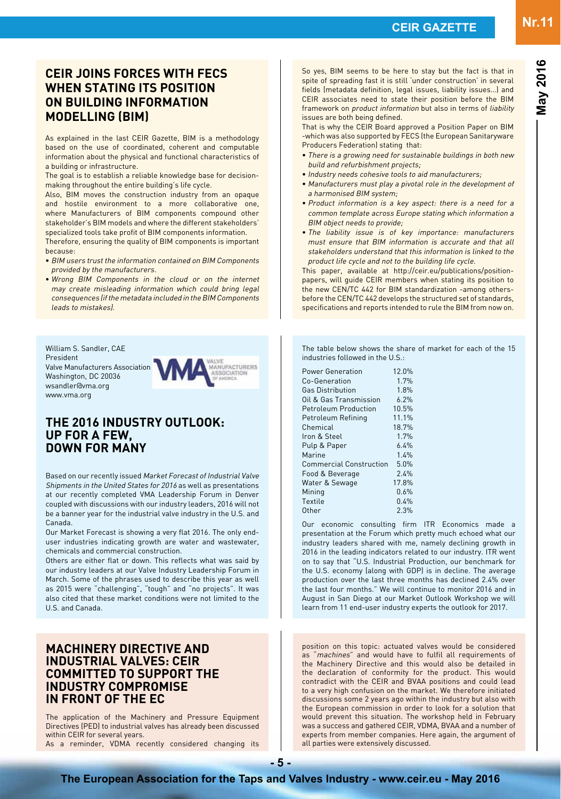**May 2016**

# **CEIR joins forces with FECS when stating its position on building information modelling (BIM)**

As explained in the last CEIR Gazette, BIM is a methodology based on the use of coordinated, coherent and computable information about the physical and functional characteristics of a building or infrastructure.

The goal is to establish a reliable knowledge base for decisionmaking throughout the entire building's life cycle.

Also, BIM moves the construction industry from an opaque and hostile environment to a more collaborative one, where Manufacturers of BIM components compound other stakeholder's BIM models and where the different stakeholders' specialized tools take profit of BIM components information. Therefore, ensuring the quality of BIM components is important because:

- BIM users trust the information contained on BIM Components provided by the manufacturers.
- Wrong BIM Components in the cloud or on the internet may create misleading information which could bring legal consequences (if the metadata included in the BIM Components leads to mistakes).

William S. Sandler, CAE President Valve Manufacturers Association Washington, DC 20036 wsandler@vma.org www.vma.org



### **The 2016 Industry Outlook: Up for a Few, Down for Many**

Based on our recently issued Market Forecast of Industrial Valve Shipments in the United States for 2016 as well as presentations at our recently completed VMA Leadership Forum in Denver coupled with discussions with our industry leaders, 2016 will not be a banner year for the industrial valve industry in the U.S. and Canada.

Our Market Forecast is showing a very flat 2016. The only enduser industries indicating growth are water and wastewater, chemicals and commercial construction.

Others are either flat or down. This reflects what was said by our industry leaders at our Valve Industry Leadership Forum in March. Some of the phrases used to describe this year as well as 2015 were "challenging", "tough" and "no projects". It was also cited that these market conditions were not limited to the U.S. and Canada.

### **MACHINERY DIRECTIVE AND INDUSTRIAL VALVES: CEIR committed to support the industry compromise in front of the EC**

The application of the Machinery and Pressure Equipment Directives (PED) to industrial valves has already been discussed within CEIR for several years.

As a reminder, VDMA recently considered changing its

So yes, BIM seems to be here to stay but the fact is that in spite of spreading fast it is still 'under construction' in several fields (metadata definition, legal issues, liability issues…) and CEIR associates need to state their position before the BIM framework on product information but also in terms of liability issues are both being defined.

That is why the CEIR Board approved a Position Paper on BIM -which was also supported by FECS (the European Sanitaryware Producers Federation) stating that:

- There is a growing need for sustainable buildings in both new build and refurbishment projects;
- Industry needs cohesive tools to aid manufacturers;
- Manufacturers must play a pivotal role in the development of a harmonised BIM system;
- Product information is a key aspect: there is a need for a common template across Europe stating which information a BIM object needs to provide;
- The liability issue is of key importance: manufacturers must ensure that BIM information is accurate and that all stakeholders understand that this information is linked to the product life cycle and not to the building life cycle.

This paper, available at http://ceir.eu/publications/positionpapers, will guide CEIR members when stating its position to the new CEN/TC 442 for BIM standardization -among othersbefore the CEN/TC 442 develops the structured set of standards, specifications and reports intended to rule the BIM from now on.

The table below shows the share of market for each of the 15 industries followed in the U.S.:

| <b>Power Generation</b>        | 12.0% |
|--------------------------------|-------|
| Co-Generation                  | 1.7%  |
| <b>Gas Distribution</b>        | 1.8%  |
| Oil & Gas Transmission         | 6.2%  |
| <b>Petroleum Production</b>    | 10.5% |
| Petroleum Refining             | 11.1% |
| Chemical                       | 18.7% |
| Iron & Steel                   | 1.7%  |
| Pulp & Paper                   | 6.4%  |
| Marine                         | 1.4%  |
| <b>Commercial Construction</b> | 5.0%  |
| Food & Beverage                | 2.4%  |
| Water & Sewage                 | 17.8% |
| Mining                         | 0.6%  |
| Textile                        | 0.4%  |
| Other                          | 2.3%  |

Our economic consulting firm ITR Economics made a presentation at the Forum which pretty much echoed what our industry leaders shared with me, namely declining growth in 2016 in the leading indicators related to our industry. ITR went on to say that "U.S. Industrial Production, our benchmark for the U.S. economy (along with GDP) is in decline. The average production over the last three months has declined 2.4% over the last four months." We will continue to monitor 2016 and in August in San Diego at our Market Outlook Workshop we will learn from 11 end-user industry experts the outlook for 2017.

position on this topic: actuated valves would be considered as "machines" and would have to fulfil all requirements of the Machinery Directive and this would also be detailed in the declaration of conformity for the product. This would contradict with the CEIR and BVAA positions and could lead to a very high confusion on the market. We therefore initiated discussions some 2 years ago within the industry but also with the European commission in order to look for a solution that would prevent this situation. The workshop held in February was a success and gathered CEIR, VDMA, BVAA and a number of experts from member companies. Here again, the argument of all parties were extensively discussed.

**The European Association for the Taps and Valves Industry - www.ceir.eu - May 2016 - 5 -**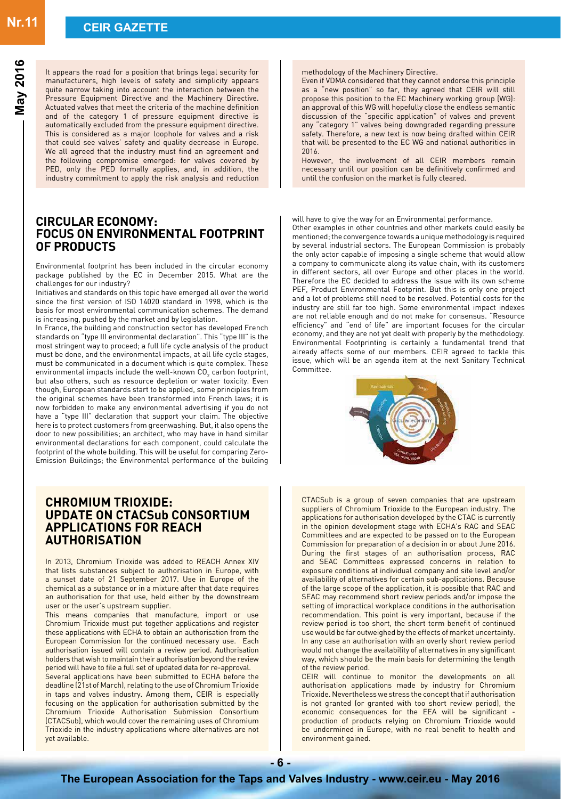**May 2016**

It appears the road for a position that brings legal security for manufacturers, high levels of safety and simplicity appears quite narrow taking into account the interaction between the Pressure Equipment Directive and the Machinery Directive. Actuated valves that meet the criteria of the machine definition and of the category 1 of pressure equipment directive is automatically excluded from the pressure equipment directive. This is considered as a major loophole for valves and a risk that could see valves' safety and quality decrease in Europe. We all agreed that the industry must find an agreement and the following compromise emerged: for valves covered by PED, only the PED formally applies, and, in addition, the industry commitment to apply the risk analysis and reduction

### **CIRCULAR ECONOMY: Focus on environmental footprint of products**

Environmental footprint has been included in the circular economy package published by the EC in December 2015. What are the challenges for our industry?

Initiatives and standards on this topic have emerged all over the world since the first version of ISO 14020 standard in 1998, which is the basis for most environmental communication schemes. The demand is increasing, pushed by the market and by legislation.

In France, the building and construction sector has developed French standards on "type III environmental declaration". This "type III" is the most stringent way to proceed; a full life cycle analysis of the product must be done, and the environmental impacts, at all life cycle stages, must be communicated in a document which is quite complex. These environmental impacts include the well-known CO $_{\textrm{\tiny{2}}}$  carbon footprint, but also others, such as resource depletion or water toxicity. Even though, European standards start to be applied, some principles from the original schemes have been transformed into French laws; it is now forbidden to make any environmental advertising if you do not have a "type III" declaration that support your claim. The objective here is to protect customers from greenwashing. But, it also opens the door to new possibilities; an architect, who may have in hand similar environmental declarations for each component, could calculate the footprint of the whole building. This will be useful for comparing Zero-Emission Buildings; the Environmental performance of the building

### **CHROMIUM TRIOXIDE: Update on CTACSub Consortium Applications for REACH Authorisation**

In 2013, Chromium Trioxide was added to REACH Annex XIV that lists substances subject to authorisation in Europe, with a sunset date of 21 September 2017. Use in Europe of the chemical as a substance or in a mixture after that date requires an authorisation for that use, held either by the downstream user or the user's upstream supplier.

This means companies that manufacture, import or use Chromium Trioxide must put together applications and register these applications with ECHA to obtain an authorisation from the European Commission for the continued necessary use. Each authorisation issued will contain a review period. Authorisation holders that wish to maintain their authorisation beyond the review period will have to file a full set of updated data for re-approval. Several applications have been submitted to ECHA before the deadline (21st of March), relating to the use of Chromium Trioxide in taps and valves industry. Among them, CEIR is especially focusing on the application for authorisation submitted by the Chromium Trioxide Authorisation Submission Consortium (CTACSub), which would cover the remaining uses of Chromium Trioxide in the industry applications where alternatives are not yet available.

methodology of the Machinery Directive.

Even if VDMA considered that they cannot endorse this principle as a "new position" so far, they agreed that CEIR will still propose this position to the EC Machinery working group (WG): an approval of this WG will hopefully close the endless semantic discussion of the "specific application" of valves and prevent any "category 1" valves being downgraded regarding pressure safety. Therefore, a new text is now being drafted within CEIR that will be presented to the EC WG and national authorities in 2016.

However, the involvement of all CEIR members remain necessary until our position can be definitively confirmed and until the confusion on the market is fully cleared.

will have to give the way for an Environmental performance.

Other examples in other countries and other markets could easily be mentioned; the convergence towards a unique methodology is required by several industrial sectors. The European Commission is probably the only actor capable of imposing a single scheme that would allow a company to communicate along its value chain, with its customers in different sectors, all over Europe and other places in the world. Therefore the EC decided to address the issue with its own scheme PEF, Product Environmental Footprint. But this is only one project and a lot of problems still need to be resolved. Potential costs for the industry are still far too high. Some environmental impact indexes are not reliable enough and do not make for consensus. "Resource efficiency" and "end of life" are important focuses for the circular economy, and they are not yet dealt with properly by the methodology. Environmental Footprinting is certainly a fundamental trend that already affects some of our members. CEIR agreed to tackle this issue, which will be an agenda item at the next Sanitary Technical Committee.



CTACSub is a group of seven companies that are upstream suppliers of Chromium Trioxide to the European industry. The applications for authorisation developed by the CTAC is currently in the opinion development stage with ECHA's RAC and SEAC Committees and are expected to be passed on to the European Commission for preparation of a decision in or about June 2016. During the first stages of an authorisation process, RAC and SEAC Committees expressed concerns in relation to exposure conditions at individual company and site level and/or availability of alternatives for certain sub-applications. Because of the large scope of the application, it is possible that RAC and SEAC may recommend short review periods and/or impose the setting of impractical workplace conditions in the authorisation recommendation. This point is very important, because if the review period is too short, the short term benefit of continued use would be far outweighed by the effects of market uncertainty. In any case an authorisation with an overly short review period would not change the availability of alternatives in any significant way, which should be the main basis for determining the length of the review period.

CEIR will continue to monitor the developments on all authorisation applications made by industry for Chromium Trioxide. Nevertheless we stress the concept that if authorisation is not granted (or granted with too short review period), the economic consequences for the EEA will be significant production of products relying on Chromium Trioxide would be undermined in Europe, with no real benefit to health and environment gained.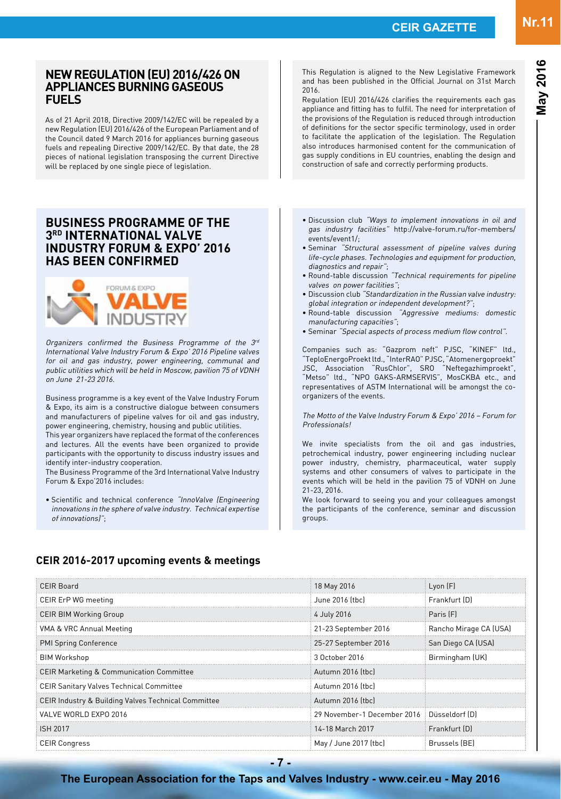# **New Regulation (EU) 2016/426 on appliances burning gaseous fuels**

As of 21 April 2018, Directive 2009/142/EC will be repealed by a new Regulation (EU) 2016/426 of the European Parliament and of the Council dated 9 March 2016 for appliances burning gaseous fuels and repealing Directive 2009/142/EC. By that date, the 28 pieces of national legislation transposing the current Directive will be replaced by one single piece of legislation.

### **Business Programme of the 3rd International Valve Industry Forum & Expo' 2016 has been confirmed**



Organizers confirmed the Business Programme of the 3rd International Valve Industry Forum & Expo' 2016 Pipeline valves for oil and gas industry, power engineering, communal and public utilities which will be held in Moscow, pavilion 75 of VDNH on June 21-23 2016.

Business programme is a key event of the Valve Industry Forum & Expo, its aim is a constructive dialogue between consumers and manufacturers of pipeline valves for oil and gas industry, power engineering, chemistry, housing and public utilities. This year organizers have replaced the format of the conferences and lectures. All the events have been organized to provide participants with the opportunity to discuss industry issues and

identify inter-industry cooperation. The Business Programme of the 3rd International Valve Industry Forum & Expo'2016 includes:

• Scientific and technical conference "InnoValve (Engineering innovations in the sphere of valve industry. Technical expertise of innovations)";

This Regulation is aligned to the New Legislative Framework and has been published in the Official Journal on 31st March 2016.

Regulation (EU) 2016/426 clarifies the requirements each gas appliance and fitting has to fulfil. The need for interpretation of the provisions of the Regulation is reduced through introduction of definitions for the sector specific terminology, used in order to facilitate the application of the legislation. The Regulation also introduces harmonised content for the communication of gas supply conditions in EU countries, enabling the design and construction of safe and correctly performing products.

- Discussion club "Ways to implement innovations in oil and gas industry facilities" http://valve-forum.ru/for-members/ events/event1/;
- Seminar "Structural assessment of pipeline valves during life-cycle phases. Technologies and equipment for production, diagnostics and repair";
- Round-table discussion "Technical requirements for pipeline valves on power facilities";
- Discussion club "Standardization in the Russian valve industry: <sup>g</sup>lobal integration or independent development?";
- Round-table discussion "Aggressive mediums: domestic manufacturing capacities";
- Seminar "Special aspects of process medium flow control".

Companies such as: "Gazprom neft" PJSC, "KINEF" ltd., "TeploEnergoProekt ltd., "InterRAO" PJSC, "Atomenergoproekt" JSC, Association "RusChlor", SRO "Neftegazhimproekt", "Metso" ltd., "NPO GAKS-ARMSERVIS", MosCKBA etc., and representatives of ASTM International will be amongst the coorganizers of the events.

The Motto of the Valve Industry Forum & Expo' 2016 – Forum for Professionals!

We invite specialists from the oil and gas industries, petrochemical industry, power engineering including nuclear power industry, chemistry, pharmaceutical, water supply systems and other consumers of valves to participate in the events which will be held in the pavilion 75 of VDNH on June 21-23, 2016.

We look forward to seeing you and your colleagues amongst the participants of the conference, seminar and discussion groups.

## **CEIR 2016-2017 upcoming events & meetings**

| CEIR Board                                          | 18 May 2016                                | Lyon [F]               |
|-----------------------------------------------------|--------------------------------------------|------------------------|
| CEIR ErP WG meeting                                 | June 2016 (tbc)                            | Frankfurt (D)          |
| <b>CEIR BIM Working Group</b>                       | 4 July 2016                                | Paris [F]              |
| VMA & VRC Annual Meeting                            | 21-23 September 2016                       | Rancho Mirage CA (USA) |
| PMI Spring Conference                               | 25-27 September 2016                       | San Diego CA (USA)     |
| BIM Workshop                                        | 3 October 2016                             | Birmingham (UK)        |
| <b>CEIR Marketing &amp; Communication Committee</b> | Autumn 2016 (tbc)                          |                        |
| <b>CEIR Sanitary Valves Technical Committee</b>     | Autumn 2016 (tbc)                          |                        |
| CEIR Industry & Building Valves Technical Committee | Autumn 2016 [tbc]                          |                        |
| VALVE WORLD EXPO 2016                               | 29 November-1 December 2016 Düsseldorf (D) |                        |
| <b>ISH 2017</b>                                     | 14-18 March 2017                           | Frankfurt (D)          |
| <b>CEIR Congress</b>                                | May / June 2017 (tbc)                      | Brussels (BE)          |

#### **The European Association for the Taps and Valves Industry - www.ceir.eu - May 2016**